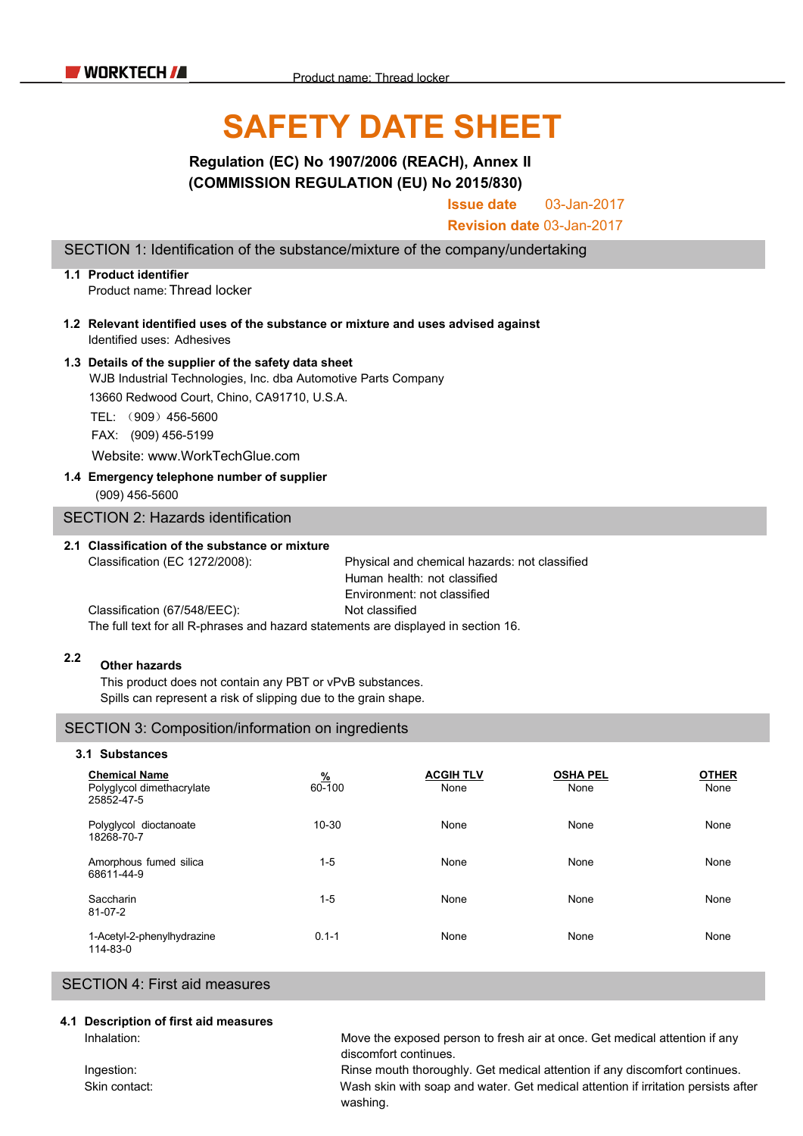# **SAFETY DATE SHEET**

# **Regulation (EC) No 1907/2006 (REACH), Annex II (COMMISSION REGULATION (EU) No 2015/830)**

**Issue date** 03-Jan-2017

**Revision date** 03-Jan-2017

SECTION 1: Identification of the substance/mixture of the company/undertaking

## **1.1 Product identifier** Product name:Thread locker

- **1.2 Relevant identified uses of the substance or mixture and uses advised against** Identified uses: Adhesives
- **1.3 Details of the supplier of the safety data sheet** WJB Industrial Technologies, Inc. dba Automotive Parts Company

13660 Redwood Court, Chino, CA91710, U.S.A.

TEL: (909)456-5600

FAX: (909) 456-5199

Website: www.WorkTechGlue.com

## **1.4 Emergency telephone number of supplier**

(909) 456-5600

SECTION 2: Hazards identification

## **2.1 Classification of the substance or mixture**

Classification (EC 1272/2008): Physical and chemical hazards: not classified Human health: not classified Environment: not classified Classification (67/548/EEC): Not classified

The full text for all R-phrases and hazard statements are displayed in section 16.

#### **2.2 Other hazards**

This product does not contain any PBT or vPvB substances. Spills can represent a risk of slipping due to the grain shape.

## SECTION 3: Composition/information on ingredients

#### **3.1 Substances Chemical Name Chemical Name Chemical Name CHER 80-100 CHER None CHER CONSISTER CONSISTER CONSISTER CONSISTER CONSISTER CONSISTER CONSISTER CONSISTER CONSISTER CONSISTER CONSISTER CONS** Polyglycol dimethacrylate 25852-47-5 Polyglycol dioctanoate 18268-70-7 Amorphous fumed silica 68611-44-9 Saccharin 81-07-2 1-Acetyl-2-phenylhydrazine 114-83-0 60-100 None None None 10-30 None None None 1-5 None None None 1-5 None None None 0.1-1 None None None

## SECTION 4: First aid measures

#### **4.1 Description of first aid measures**

Inhalation: Move the exposed person to fresh air at once. Get medical attention if any discomfort continues.

Ingestion: Rinse mouth thoroughly. Get medical attention if any discomfort continues. Skin contact: Wash skin with soap and water. Get medical attention if irritation persists after washing.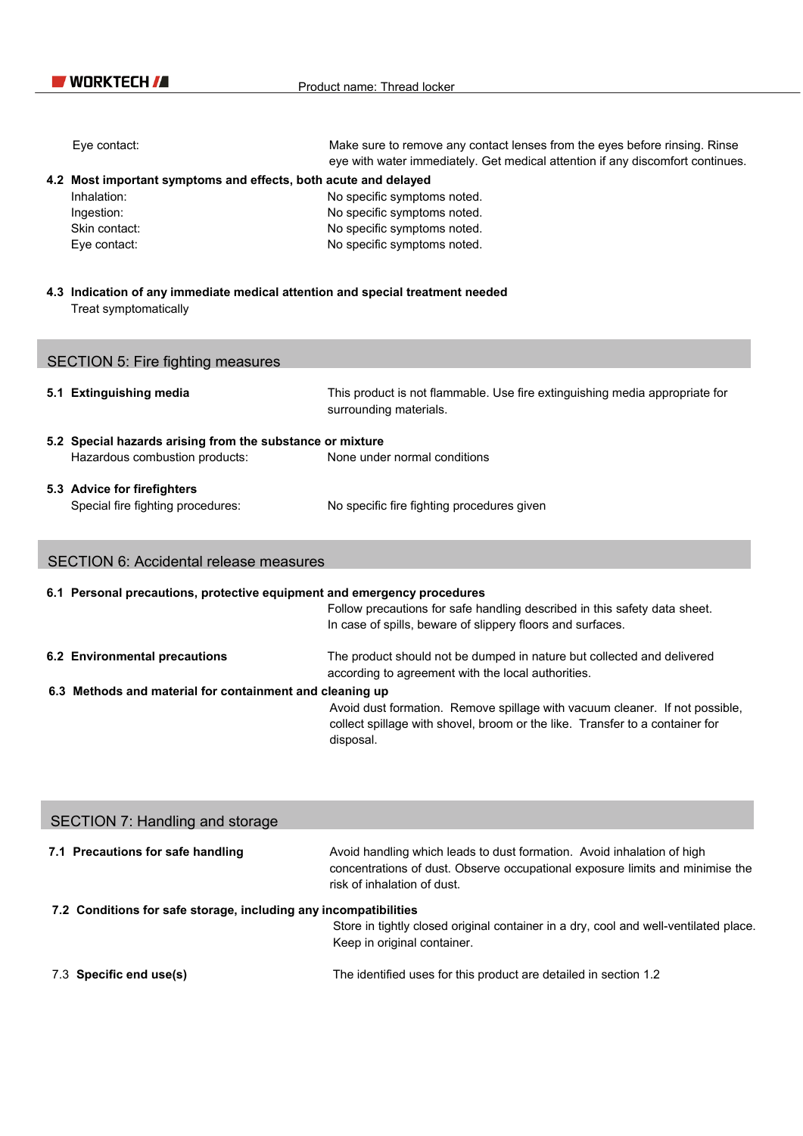| Eye contact:                                                                                            | Make sure to remove any contact lenses from the eyes before rinsing. Rinse<br>eye with water immediately. Get medical attention if any discomfort continues. |  |  |
|---------------------------------------------------------------------------------------------------------|--------------------------------------------------------------------------------------------------------------------------------------------------------------|--|--|
| 4.2 Most important symptoms and effects, both acute and delayed                                         |                                                                                                                                                              |  |  |
| Inhalation:<br>Ingestion:                                                                               | No specific symptoms noted.<br>No specific symptoms noted.                                                                                                   |  |  |
| Skin contact:                                                                                           | No specific symptoms noted.                                                                                                                                  |  |  |
| Eye contact:                                                                                            | No specific symptoms noted.                                                                                                                                  |  |  |
|                                                                                                         |                                                                                                                                                              |  |  |
| 4.3 Indication of any immediate medical attention and special treatment needed<br>Treat symptomatically |                                                                                                                                                              |  |  |
| <b>SECTION 5: Fire fighting measures</b>                                                                |                                                                                                                                                              |  |  |
| 5.1 Extinguishing media                                                                                 | This product is not flammable. Use fire extinguishing media appropriate for<br>surrounding materials.                                                        |  |  |
| 5.2 Special hazards arising from the substance or mixture                                               |                                                                                                                                                              |  |  |
| Hazardous combustion products:                                                                          | None under normal conditions                                                                                                                                 |  |  |
|                                                                                                         |                                                                                                                                                              |  |  |
| 5.3 Advice for firefighters                                                                             |                                                                                                                                                              |  |  |
| Special fire fighting procedures:                                                                       | No specific fire fighting procedures given                                                                                                                   |  |  |
| <b>SECTION 6: Accidental release measures</b>                                                           |                                                                                                                                                              |  |  |
|                                                                                                         |                                                                                                                                                              |  |  |
| 6.1 Personal precautions, protective equipment and emergency procedures                                 | Follow precautions for safe handling described in this safety data sheet.                                                                                    |  |  |
|                                                                                                         | In case of spills, beware of slippery floors and surfaces.                                                                                                   |  |  |
| 6.2 Environmental precautions                                                                           | The product should not be dumped in nature but collected and delivered                                                                                       |  |  |
|                                                                                                         | according to agreement with the local authorities.                                                                                                           |  |  |
| 6.3 Methods and material for containment and cleaning up                                                |                                                                                                                                                              |  |  |
|                                                                                                         | Avoid dust formation. Remove spillage with vacuum cleaner. If not possible,<br>collect spillage with shovel, broom or the like. Transfer to a container for  |  |  |
|                                                                                                         | disposal.                                                                                                                                                    |  |  |
|                                                                                                         |                                                                                                                                                              |  |  |
|                                                                                                         |                                                                                                                                                              |  |  |
|                                                                                                         |                                                                                                                                                              |  |  |

| SECTION 7: Handling and storage                                  |                                                                                                                                                                                        |  |  |
|------------------------------------------------------------------|----------------------------------------------------------------------------------------------------------------------------------------------------------------------------------------|--|--|
| 7.1 Precautions for safe handling                                | Avoid handling which leads to dust formation. Avoid inhalation of high<br>concentrations of dust. Observe occupational exposure limits and minimise the<br>risk of inhalation of dust. |  |  |
| 7.2 Conditions for safe storage, including any incompatibilities |                                                                                                                                                                                        |  |  |
|                                                                  | Store in tightly closed original container in a dry, cool and well-ventilated place.                                                                                                   |  |  |
|                                                                  | Keep in original container.                                                                                                                                                            |  |  |
| 7.3 Specific end use(s)                                          | The identified uses for this product are detailed in section 1.2                                                                                                                       |  |  |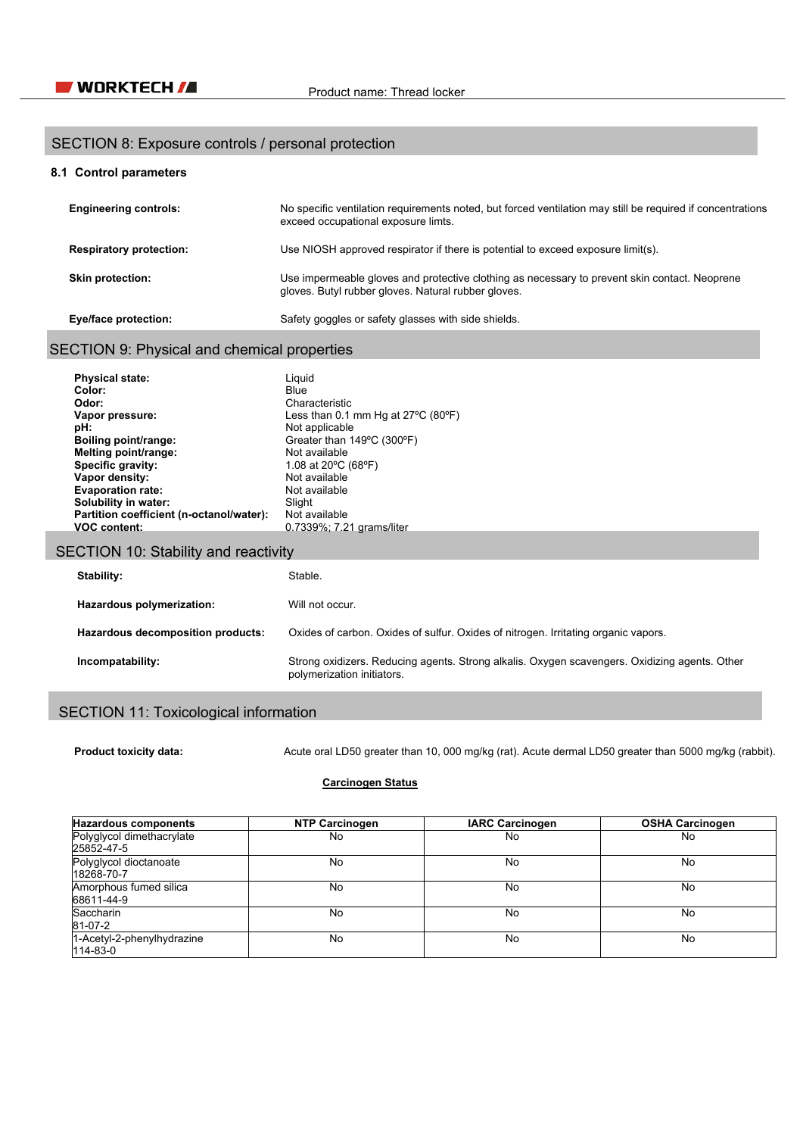## SECTION 8: Exposure controls / personal protection

## **8.1 Control parameters**

| <b>Engineering controls:</b>   | No specific ventilation requirements noted, but forced ventilation may still be required if concentrations<br>exceed occupational exposure limts.    |
|--------------------------------|------------------------------------------------------------------------------------------------------------------------------------------------------|
| <b>Respiratory protection:</b> | Use NIOSH approved respirator if there is potential to exceed exposure limit(s).                                                                     |
| <b>Skin protection:</b>        | Use impermeable gloves and protective clothing as necessary to prevent skin contact. Neoprene<br>gloves. Butyl rubber gloves. Natural rubber gloves. |
| <b>Eye/face protection:</b>    | Safety goggles or safety glasses with side shields.                                                                                                  |

# SECTION 9: Physical and chemical properties

| <b>Physical state:</b>                   | Liauid                                  |
|------------------------------------------|-----------------------------------------|
| Color:                                   | Blue                                    |
| Odor:                                    | Characteristic                          |
| Vapor pressure:                          | Less than 0.1 mm Hg at 27°C (80°F)      |
| pH:                                      | Not applicable                          |
| <b>Boiling point/range:</b>              | Greater than 149°C (300°F)              |
| Melting point/range:                     | Not available                           |
| Specific gravity:                        | 1.08 at 20 $\degree$ C (68 $\degree$ F) |
| Vapor density:                           | Not available                           |
| <b>Evaporation rate:</b>                 | Not available                           |
| Solubility in water:                     | Slight                                  |
| Partition coefficient (n-octanol/water): | Not available                           |
| <b>VOC content:</b>                      | 0.7339%; 7.21 grams/liter               |

# SECTION 10: Stability and reactivity

| Stability:                        | Stable.                                                                                                                     |
|-----------------------------------|-----------------------------------------------------------------------------------------------------------------------------|
| Hazardous polymerization:         | Will not occur.                                                                                                             |
| Hazardous decomposition products: | Oxides of carbon. Oxides of sulfur. Oxides of nitrogen. Irritating organic vapors.                                          |
| Incompatability:                  | Strong oxidizers. Reducing agents. Strong alkalis. Oxygen scavengers. Oxidizing agents. Other<br>polymerization initiators. |

# SECTION 11: Toxicological information

**Product toxicity data:** Acute oral LD50 greater than 10, 000 mg/kg (rat). Acute dermal LD50 greater than 5000 mg/kg (rabbit).

## **Carcinogen Status**

| <b>Hazardous components</b>                  | <b>NTP Carcinogen</b> | <b>IARC Carcinogen</b> | <b>OSHA Carcinogen</b> |
|----------------------------------------------|-----------------------|------------------------|------------------------|
| Polyglycol dimethacrylate<br>25852-47-5      | No                    | No                     | No                     |
| Polyglycol dioctanoate<br>18268-70-7         | No                    | No                     | No                     |
| Amorphous fumed silica<br>68611-44-9         | No                    | No                     | No                     |
| Saccharin<br>81-07-2                         | No                    | No                     | No                     |
| 1-Acetyl-2-phenylhydrazine<br>$114 - 83 - 0$ | No                    | No                     | No                     |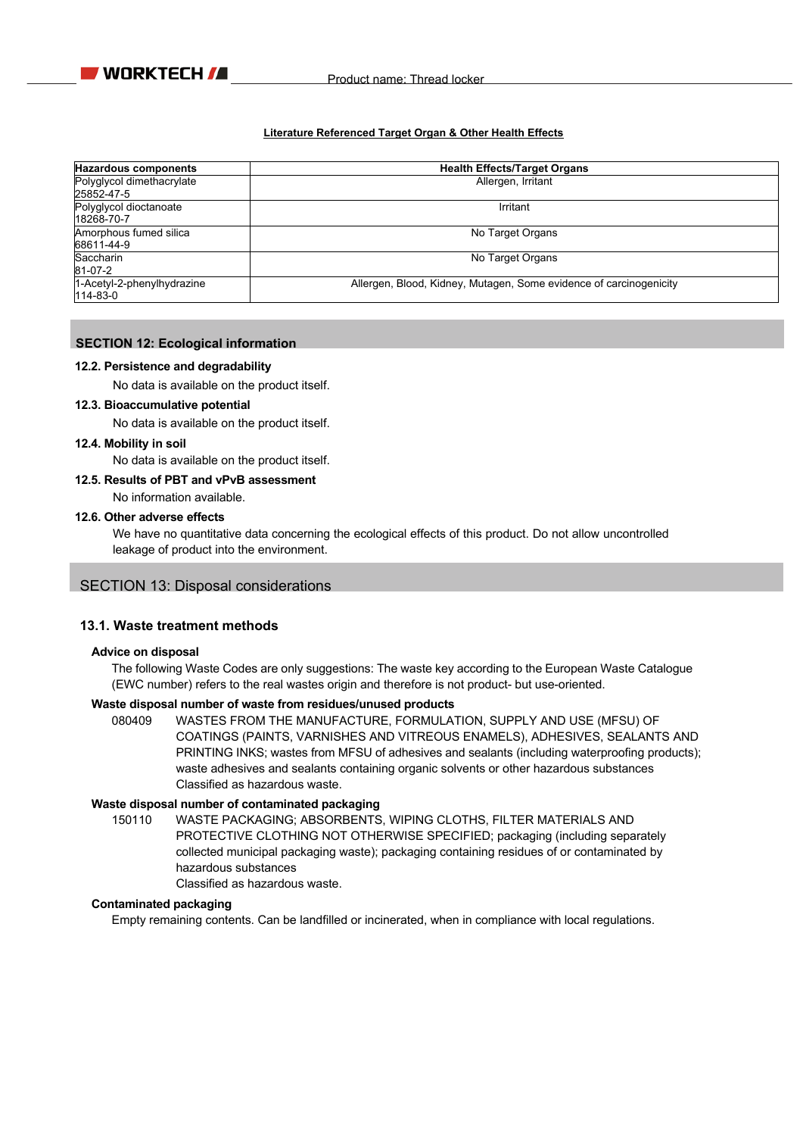

## **Literature Referenced Target Organ & Other Health Effects**

| <b>Hazardous components</b>                  | <b>Health Effects/Target Organs</b>                                |
|----------------------------------------------|--------------------------------------------------------------------|
| Polyglycol dimethacrylate<br>25852-47-5      | Allergen, Irritant                                                 |
| Polyglycol dioctanoate<br>18268-70-7         | Irritant                                                           |
| Amorphous fumed silica<br>68611-44-9         | No Target Organs                                                   |
| Saccharin<br>81-07-2                         | No Target Organs                                                   |
| 1-Acetyl-2-phenylhydrazine<br>$114 - 83 - 0$ | Allergen, Blood, Kidney, Mutagen, Some evidence of carcinogenicity |

## **SECTION 12: Ecological information**

#### **12.2. Persistence and degradability**

No data is available on the product itself.

## **12.3. Bioaccumulative potential**

No data is available on the product itself.

#### **12.4. Mobility in soil**

No data is available on the product itself.

## **12.5. Results of PBT and vPvB assessment**

No information available.

## **12.6. Other adverse effects**

We have no quantitative data concerning the ecological effects of this product. Do not allow uncontrolled leakage of product into the environment.

## SECTION 13: Disposal considerations

## **13.1. Waste treatment methods**

#### **Advice on disposal**

The following Waste Codes are only suggestions: The waste key according to the European Waste Catalogue (EWC number) refers to the real wastes origin and therefore is not product- but use-oriented.

## **Waste disposal number of waste from residues/unused products**

080409 WASTES FROM THE MANUFACTURE, FORMULATION, SUPPLY AND USE (MFSU) OF COATINGS (PAINTS, VARNISHES AND VITREOUS ENAMELS), ADHESIVES, SEALANTS AND PRINTING INKS; wastes from MFSU of adhesives and sealants (including waterproofing products); waste adhesives and sealants containing organic solvents or other hazardous substances Classified as hazardous waste.

## **Waste disposal number of contaminated packaging**

150110 WASTE PACKAGING; ABSORBENTS, WIPING CLOTHS, FILTER MATERIALS AND PROTECTIVE CLOTHING NOT OTHERWISE SPECIFIED; packaging (including separately collected municipal packaging waste); packaging containing residues of or contaminated by hazardous substances Classified as hazardous waste.

#### **Contaminated packaging**

Empty remaining contents. Can be landfilled or incinerated, when in compliance with local regulations.